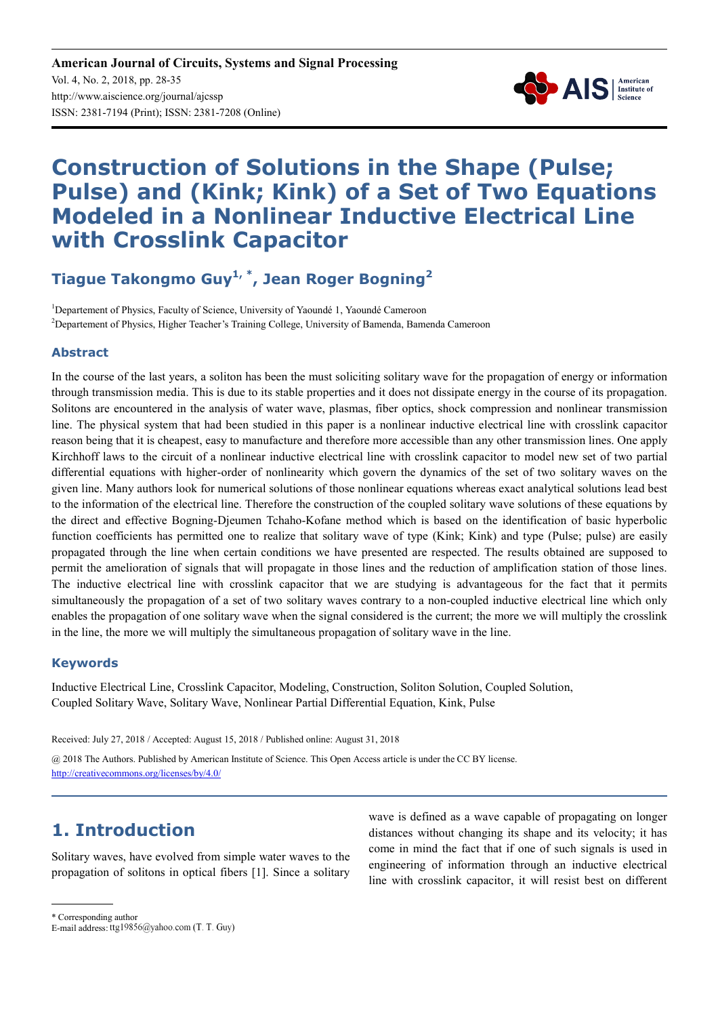

# **Construction of Solutions in the Shape (Pulse; Pulse) and (Kink; Kink) of a Set of Two Equations Modeled in a Nonlinear Inductive Electrical Line with Crosslink Capacitor**

**Tiague Takongmo Guy1, \*, Jean Roger Bogning<sup>2</sup>**

<sup>1</sup>Departement of Physics, Faculty of Science, University of Yaoundé 1, Yaoundé Cameroon <sup>2</sup>Departement of Physics, Higher Teacher's Training College, University of Bamenda, Bamenda Cameroon

#### **Abstract**

In the course of the last years, a soliton has been the must soliciting solitary wave for the propagation of energy or information through transmission media. This is due to its stable properties and it does not dissipate energy in the course of its propagation. Solitons are encountered in the analysis of water wave, plasmas, fiber optics, shock compression and nonlinear transmission line. The physical system that had been studied in this paper is a nonlinear inductive electrical line with crosslink capacitor reason being that it is cheapest, easy to manufacture and therefore more accessible than any other transmission lines. One apply Kirchhoff laws to the circuit of a nonlinear inductive electrical line with crosslink capacitor to model new set of two partial differential equations with higher-order of nonlinearity which govern the dynamics of the set of two solitary waves on the given line. Many authors look for numerical solutions of those nonlinear equations whereas exact analytical solutions lead best to the information of the electrical line. Therefore the construction of the coupled solitary wave solutions of these equations by the direct and effective Bogning-Djeumen Tchaho-Kofane method which is based on the identification of basic hyperbolic function coefficients has permitted one to realize that solitary wave of type (Kink; Kink) and type (Pulse; pulse) are easily propagated through the line when certain conditions we have presented are respected. The results obtained are supposed to permit the amelioration of signals that will propagate in those lines and the reduction of amplification station of those lines. The inductive electrical line with crosslink capacitor that we are studying is advantageous for the fact that it permits simultaneously the propagation of a set of two solitary waves contrary to a non-coupled inductive electrical line which only enables the propagation of one solitary wave when the signal considered is the current; the more we will multiply the crosslink in the line, the more we will multiply the simultaneous propagation of solitary wave in the line.

#### **Keywords**

Inductive Electrical Line, Crosslink Capacitor, Modeling, Construction, Soliton Solution, Coupled Solution, Coupled Solitary Wave, Solitary Wave, Nonlinear Partial Differential Equation, Kink, Pulse

Received: July 27, 2018 / Accepted: August 15, 2018 / Published online: August 31, 2018

@ 2018 The Authors. Published by American Institute of Science. This Open Access article is under the CC BY license. http://creativecommons.org/licenses/by/4.0/

### **1. Introduction**

Solitary waves, have evolved from simple water waves to the propagation of solitons in optical fibers [1]. Since a solitary

wave is defined as a wave capable of propagating on longer distances without changing its shape and its velocity; it has come in mind the fact that if one of such signals is used in engineering of information through an inductive electrical line with crosslink capacitor, it will resist best on different

\* Corresponding author

E-mail address: ttg19856@yahoo.com (T. T. Guy)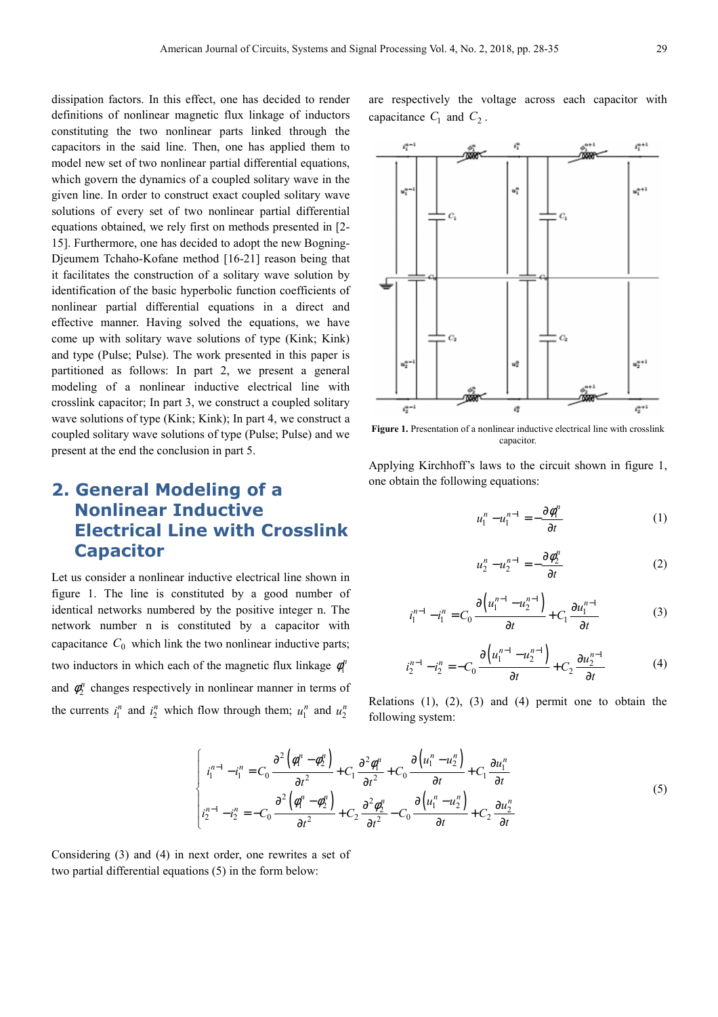dissipation factors. In this effect, one has decided to render definitions of nonlinear magnetic flux linkage of inductors constituting the two nonlinear parts linked through the capacitors in the said line. Then, one has applied them to model new set of two nonlinear partial differential equations, which govern the dynamics of a coupled solitary wave in the given line. In order to construct exact coupled solitary wave solutions of every set of two nonlinear partial differential equations obtained, we rely first on methods presented in [2- 15]. Furthermore, one has decided to adopt the new Bogning-Djeumem Tchaho-Kofane method [16-21] reason being that it facilitates the construction of a solitary wave solution by identification of the basic hyperbolic function coefficients of nonlinear partial differential equations in a direct and effective manner. Having solved the equations, we have come up with solitary wave solutions of type (Kink; Kink) and type (Pulse; Pulse). The work presented in this paper is partitioned as follows: In part 2, we present a general modeling of a nonlinear inductive electrical line with crosslink capacitor; In part 3, we construct a coupled solitary wave solutions of type (Kink; Kink); In part 4, we construct a coupled solitary wave solutions of type (Pulse; Pulse) and we present at the end the conclusion in part 5.

# **2. General Modeling of a Nonlinear Inductive Electrical Line with Crosslink Capacitor**

Let us consider a nonlinear inductive electrical line shown in figure 1. The line is constituted by a good number of identical networks numbered by the positive integer n. The network number n is constituted by a capacitor with capacitance  $C_0$  which link the two nonlinear inductive parts; two inductors in which each of the magnetic flux linkage  $\phi_1^h$ and  $\phi_2^n$  changes respectively in nonlinear manner in terms of the currents  $i_1^n$  and  $i_2^n$  which flow through them;  $u_1^n$  and  $u_2^n$ 

are respectively the voltage across each capacitor with capacitance  $C_1$  and  $C_2$ .



Figure 1. Presentation of a nonlinear inductive electrical line with crosslink capacitor.

Applying Kirchhoff's laws to the circuit shown in figure 1, one obtain the following equations:

$$
u_1^n - u_1^{n-1} = -\frac{\partial \phi_1^n}{\partial t} \tag{1}
$$

$$
u_2^n - u_2^{n-1} = -\frac{\partial \phi_2^n}{\partial t} \tag{2}
$$

$$
i_1^{n-1} - i_1^n = C_0 \frac{\partial (u_1^{n-1} - u_2^{n-1})}{\partial t} + C_1 \frac{\partial u_1^{n-1}}{\partial t}
$$
 (3)

$$
i_2^{n-1} - i_2^n = -C_0 \frac{\partial \left( u_1^{n-1} - u_2^{n-1} \right)}{\partial t} + C_2 \frac{\partial u_2^{n-1}}{\partial t} \tag{4}
$$

Relations  $(1)$ ,  $(2)$ ,  $(3)$  and  $(4)$  permit one to obtain the following system:

$$
\begin{cases}\ni_1^{n-1} - i_1^n = C_0 \frac{\partial^2 (\phi_1^n - \phi_2^n)}{\partial t^2} + C_1 \frac{\partial^2 \phi_1^n}{\partial t^2} + C_0 \frac{\partial (u_1^n - u_2^n)}{\partial t} + C_1 \frac{\partial u_1^n}{\partial t} \\
i_2^{n-1} - i_2^n = -C_0 \frac{\partial^2 (\phi_1^n - \phi_2^n)}{\partial t^2} + C_2 \frac{\partial^2 \phi_2^n}{\partial t^2} - C_0 \frac{\partial (u_1^n - u_2^n)}{\partial t} + C_2 \frac{\partial u_2^n}{\partial t}\n\end{cases} (5)
$$

Considering (3) and (4) in next order, one rewrites a set of two partial differential equations (5) in the form below: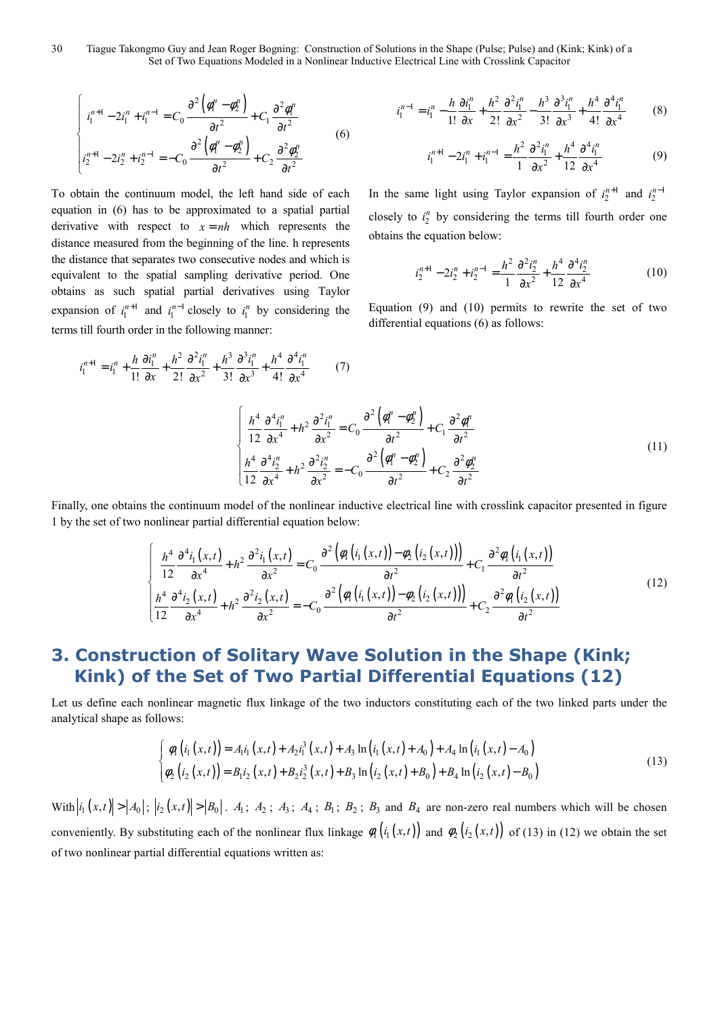30 Tiague Takongmo Guy and Jean Roger Bogning: Construction of Solutions in the Shape (Pulse; Pulse) and (Kink; Kink) of a Set of Two Equations Modeled in a Nonlinear Inductive Electrical Line with Crosslink Capacitor

$$
\begin{cases}\ni_1^{n+1} - 2i_1^n + i_1^{n-1} = C_0 \frac{\partial^2 (\phi_1^n - \phi_2^n)}{\partial t^2} + C_1 \frac{\partial^2 \phi_1^n}{\partial t^2} \\
i_2^{n+1} - 2i_2^n + i_2^{n-1} = -C_0 \frac{\partial^2 (\phi_1^n - \phi_2^n)}{\partial t^2} + C_2 \frac{\partial^2 \phi_2^n}{\partial t^2}\n\end{cases} (6)
$$

To obtain the continuum model, the left hand side of each equation in (6) has to be approximated to a spatial partial derivative with respect to  $x = nh$  which represents the distance measured from the beginning of the line. h represents the distance that separates two consecutive nodes and which is equivalent to the spatial sampling derivative period. One obtains as such spatial partial derivatives using Taylor expansion of  $i_1^{n+1}$  $i_1^{n+1}$  and  $i_1^{n-1}$  $i_1^{n-1}$  closely to  $i_1^n$  by considering the terms till fourth order in the following manner:

$$
i_1^{n+1} = i_1^n + \frac{h}{1!} \frac{\partial i_1^n}{\partial x} + \frac{h^2}{2!} \frac{\partial^2 i_1^n}{\partial x^2} + \frac{h^3}{3!} \frac{\partial^3 i_1^n}{\partial x^3} + \frac{h^4}{4!} \frac{\partial^4 i_1^n}{\partial x^4}
$$
 (7)

$$
i_1^{n-1} = i_1^n - \frac{h}{1!} \frac{\partial i_1^n}{\partial x} + \frac{h^2}{2!} \frac{\partial^2 i_1^n}{\partial x^2} - \frac{h^3}{3!} \frac{\partial^3 i_1^n}{\partial x^3} + \frac{h^4}{4!} \frac{\partial^4 i_1^n}{\partial x^4}
$$
(8)

$$
i_1^{n+1} - 2i_1^n + i_1^{n-1} = \frac{h^2}{1} \frac{\partial^2 i_1^n}{\partial x^2} + \frac{h^4}{12} \frac{\partial^4 i_1^n}{\partial x^4}
$$
(9)

In the same light using Taylor expansion of  $i_2^{n+1}$  $i_2^{n+1}$  and  $i_2^{n-1}$ *n i* − closely to  $i_2^n$  by considering the terms till fourth order one obtains the equation below:

$$
i_2^{n+1} - 2i_2^n + i_2^{n-1} = \frac{h^2}{1} \frac{\partial^2 i_2^n}{\partial x^2} + \frac{h^4}{12} \frac{\partial^4 i_2^n}{\partial x^4}
$$
 (10)

Equation (9) and (10) permits to rewrite the set of two differential equations (6) as follows:

$$
\begin{cases}\n\frac{h^4}{12} \frac{\partial^4 i_1^n}{\partial x^4} + h^2 \frac{\partial^2 i_1^n}{\partial x^2} = C_0 \frac{\partial^2 (\phi_1^n - \phi_2^n)}{\partial t^2} + C_1 \frac{\partial^2 \phi_1^n}{\partial t^2} \\
\frac{h^4}{12} \frac{\partial^4 i_2^n}{\partial x^4} + h^2 \frac{\partial^2 i_2^n}{\partial x^2} = -C_0 \frac{\partial^2 (\phi_1^n - \phi_2^n)}{\partial t^2} + C_2 \frac{\partial^2 \phi_2^n}{\partial t^2}\n\end{cases}
$$
\n(11)

Finally, one obtains the continuum model of the nonlinear inductive electrical line with crosslink capacitor presented in figure 1 by the set of two nonlinear partial differential equation below:

$$
\begin{cases}\n\frac{h^4}{12} \frac{\partial^4 i_1(x,t)}{\partial x^4} + h^2 \frac{\partial^2 i_1(x,t)}{\partial x^2} = C_0 \frac{\partial^2 \left(\phi_1 \left(i_1(x,t)\right) - \phi_2 \left(i_2(x,t)\right)\right)}{\partial t^2} + C_1 \frac{\partial^2 \phi_1 \left(i_1(x,t)\right)}{\partial t^2} \\
\frac{h^4}{12} \frac{\partial^4 i_2(x,t)}{\partial x^4} + h^2 \frac{\partial^2 i_2(x,t)}{\partial x^2} = -C_0 \frac{\partial^2 \left(\phi_1 \left(i_1(x,t)\right) - \phi_2 \left(i_2(x,t)\right)\right)}{\partial t^2} + C_2 \frac{\partial^2 \phi_1 \left(i_2(x,t)\right)}{\partial t^2}\n\end{cases}
$$
\n(12)

# **3. Construction of Solitary Wave Solution in the Shape (Kink; Kink) of the Set of Two Partial Differential Equations (12)**

Let us define each nonlinear magnetic flux linkage of the two inductors constituting each of the two linked parts under the analytical shape as follows:

$$
\begin{cases}\n\phi_1(i_1(x,t)) = A_1i_1(x,t) + A_2i_1^3(x,t) + A_3\ln(i_1(x,t) + A_0) + A_4\ln(i_1(x,t) - A_0) \\
\phi_2(i_2(x,t)) = B_1i_2(x,t) + B_2i_2^3(x,t) + B_3\ln(i_2(x,t) + B_0) + B_4\ln(i_2(x,t) - B_0)\n\end{cases}
$$
\n(13)

With  $\left| i_1(x,t) \right| > \left| A_0 \right|$ ;  $\left| i_2(x,t) \right| > \left| B_0 \right|$ .  $A_1$ ;  $A_2$ ;  $A_3$ ;  $A_4$ ;  $B_1$ ;  $B_2$ ;  $B_3$  and  $B_4$  are non-zero real numbers which will be chosen conveniently. By substituting each of the nonlinear flux linkage  $\phi_1(i_1(x,t))$  and  $\phi_2(i_2(x,t))$  of (13) in (12) we obtain the set of two nonlinear partial differential equations written as: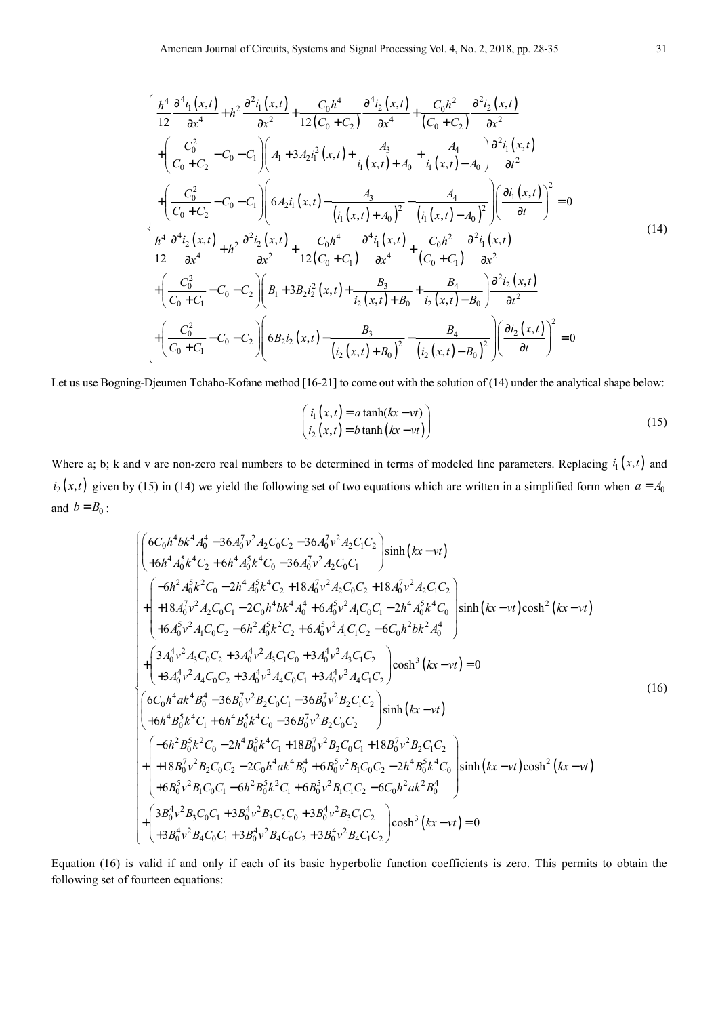$$
\begin{cases}\n\frac{h^4}{12} \frac{\partial^4 i_1(x,t)}{\partial x^4} + h^2 \frac{\partial^2 i_1(x,t)}{\partial x^2} + \frac{C_0 h^4}{12(C_0 + C_2)} \frac{\partial^4 i_2(x,t)}{\partial x^4} + \frac{C_0 h^2}{(C_0 + C_2)} \frac{\partial^2 i_2(x,t)}{\partial x^2} \\
+ \left( \frac{C_0^2}{C_0 + C_2} - C_0 - C_1 \right) \left( A_1 + 3 A_2 i_1^2(x,t) + \frac{A_3}{i_1(x,t) + A_0} + \frac{A_4}{i_1(x,t) - A_0} \right) \frac{\partial^2 i_1(x,t)}{\partial t^2} \\
+ \left( \frac{C_0^2}{C_0 + C_2} - C_0 - C_1 \right) \left( 6 A_2 i_1(x,t) - \frac{A_3}{(i_1(x,t) + A_0)^2} - \frac{A_4}{(i_1(x,t) - A_0)^2} \right) \left( \frac{\partial i_1(x,t)}{\partial t} \right)^2 = 0 \\
\frac{h^4}{12} \frac{\partial^4 i_2(x,t)}{\partial x^4} + h^2 \frac{\partial^2 i_2(x,t)}{\partial x^2} + \frac{C_0 h^4}{12(C_0 + C_1)} \frac{\partial^4 i_1(x,t)}{\partial x^4} + \frac{C_0 h^2}{(C_0 + C_1)} \frac{\partial^2 i_1(x,t)}{\partial x^2} \\
+ \left( \frac{C_0^2}{C_0 + C_1} - C_0 - C_2 \right) \left( B_1 + 3 B_2 i_2^2(x,t) + \frac{B_3}{i_2(x,t) + B_0} + \frac{B_4}{i_2(x,t) - B_0} \right) \frac{\partial^2 i_2(x,t)}{\partial t^2} \\
+ \left( \frac{C_0^2}{C_0 + C_1} - C_0 - C_2 \right) \left( 6 B_2 i_2(x,t) - \frac{B_3}{(i_2(x,t) + B_0)^2} - \frac{B_4}{(i_2(x,t) - B_0)^2} \right) \left( \frac{\partial i_2(x,t)}{\partial t} \right)^2 = 0\n\end{cases} (14)
$$

Let us use Bogning-Djeumen Tchaho-Kofane method [16-21] to come out with the solution of (14) under the analytical shape below:

$$
\begin{pmatrix}\n i_1(x,t) = a \tanh(kx - vt) \\
 i_2(x,t) = b \tanh(kx - vt)\n\end{pmatrix}
$$
\n(15)

Where a; b; k and v are non-zero real numbers to be determined in terms of modeled line parameters. Replacing  $i_1(x,t)$  and  $i_2(x,t)$  given by (15) in (14) we yield the following set of two equations which are written in a simplified form when  $a = A_0$ and  $b = B_0$ :

$$
\begin{cases}\n6C_0h^4bk^4A_0^4 - 36A_0^7v^2A_2C_0C_2 - 36A_0^7v^2A_2C_1C_2 \\
+6h^4A_0^5k^4C_2 + 6h^4A_0^5k^4C_0 - 36A_0^7v^2A_2C_0C_1\n\end{cases} \sinh (kx - vt) \\
\begin{cases}\n-6h^2A_0^5k^2C_0 - 2h^4A_0^5k^4C_2 + 18A_0^7v^2A_2C_0C_2 + 18A_0^7v^2A_2C_1C_2 \\
+18A_0^7v^2A_2C_0C_1 - 2C_0h^4bk^4A_0^4 + 6A_0^5v^2A_1C_0C_1 - 2h^4A_0^5k^4C_0 \\
+6A_0^5v^2A_1C_0C_2 - 6h^2A_0^5k^2C_2 + 6A_0^5v^2A_1C_1C_2 - 6C_0h^2bk^2A_0^4\n\end{cases} \sinh (kx - vt)\cosh^2 (kx - vt) \\
+ \begin{cases}\n3A_0^4v^2A_3C_0C_2 + 3A_0^4v^2A_3C_1C_0 + 3A_0^4v^2A_3C_1C_2 \\
+3A_0^4v^2A_4C_0C_2 + 3A_0^4v^2A_4C_0C_1 + 3A_0^4v^2A_4C_1C_2\n\end{cases} \cosh^3 (kx - vt) = 0\n\end{cases}
$$
\n(16)  
\n
$$
\begin{cases}\n6C_0h^4ak^4B_0^4 - 36B_0^7v^2B_2C_0C_1 - 36B_0^7v^2B_2C_1C_2 \\
+6h^4B_0^5k^4C_1 + 6h^4B_0^5k^4C_0 - 36B_0^7v^2B_2C_0C_2\n\end{cases} \sinh (kx - vt) \\
+ 6h^4B_0^7k^2C_0 - 2h^4B_0^5k^4C_1 + 18B_0^7v^2B_2C_0C_2 - 2h^4B_0^5k^4C
$$

Equation (16) is valid if and only if each of its basic hyperbolic function coefficients is zero. This permits to obtain the following set of fourteen equations: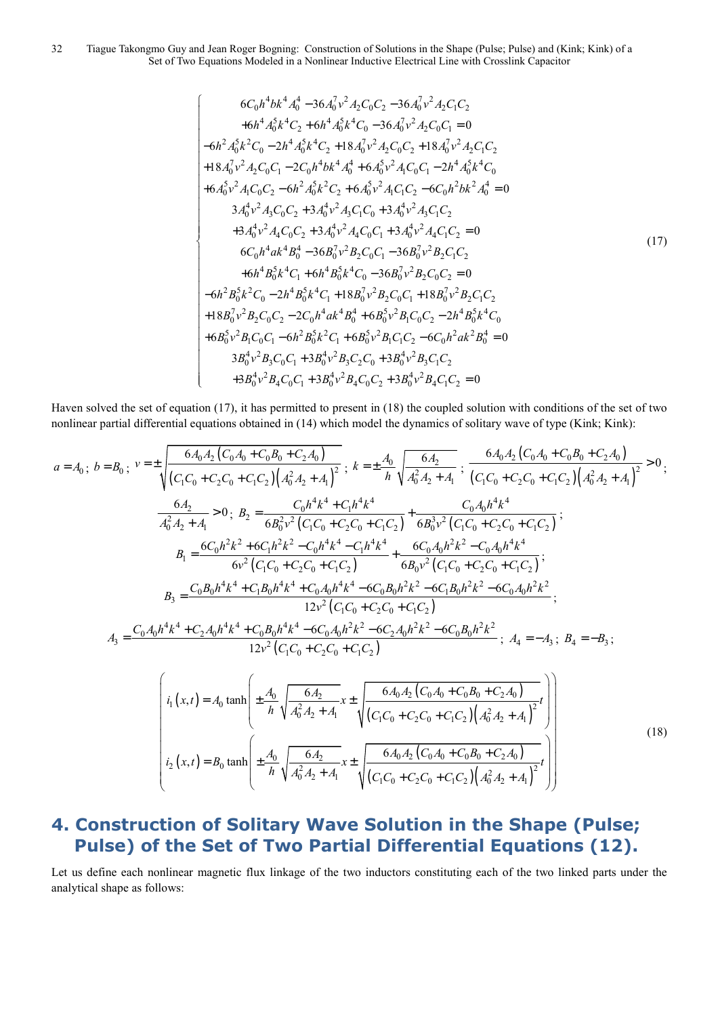#### 32 Tiague Takongmo Guy and Jean Roger Bogning: Construction of Solutions in the Shape (Pulse; Pulse) and (Kink; Kink) of a Set of Two Equations Modeled in a Nonlinear Inductive Electrical Line with Crosslink Capacitor

$$
6C_0h^4bk^4A_0^4 - 36A_0^7v^2A_2C_0C_2 - 36A_0^7v^2A_2C_1C_2
$$
  
\n
$$
+6h^4A_0^5k^4C_2 + 6h^4A_0^5k^4C_0 - 36A_0^7v^2A_2C_0C_1 = 0
$$
  
\n
$$
-6h^2A_0^5k^2C_0 - 2h^4A_0^5k^4C_2 + 18A_0^7v^2A_2C_0C_2 + 18A_0^7v^2A_2C_1C_2
$$
  
\n
$$
+18A_0^7v^2A_2C_0C_1 - 2C_0h^4bk^4A_0^4 + 6A_0^5v^2A_1C_0C_1 - 2h^4A_0^5k^4C_0
$$
  
\n
$$
+6A_0^5v^2A_1C_0C_2 - 6h^2A_0^5k^2C_2 + 6A_0^5v^2A_1C_1C_2 - 6C_0h^2bk^2A_0^4 = 0
$$
  
\n
$$
3A_0^4v^2A_3C_0C_2 + 3A_0^4v^2A_3C_1C_0 + 3A_0^4v^2A_3C_1C_2
$$
  
\n
$$
+3A_0^4v^2A_4C_0C_2 + 3A_0^4v^2A_4C_0C_1 + 3A_0^4v^2A_4C_1C_2 = 0
$$
  
\n
$$
6C_0h^4ak^4B_0^4 - 36B_0^7v^2B_2C_0C_1 - 36B_0^7v^2B_2C_1C_2
$$
  
\n
$$
+6h^4B_0^5k^4C_1 + 6h^4B_0^5k^4C_0 - 36B_0^7v^2B_2C_0C_2 = 0
$$
  
\n
$$
-6h^2B_0^5k^2C_0 - 2h^4B_0^5k^4C_1 + 18B_0^7v^2B_2C_0C_1 + 18B_0^7v^2B_2C_1C_2
$$
<

Haven solved the set of equation (17), it has permitted to present in (18) the coupled solution with conditions of the set of two nonlinear partial differential equations obtained in (14) which model the dynamics of solitary wave of type (Kink; Kink):

$$
a = A_0; b = B_0; v = \pm \sqrt{\frac{6A_0A_2(C_0A_0 + C_0B_0 + C_2A_0)}{(C_1C_0 + C_2C_0 + C_1C_2)(A_0^2A_2 + A_1)^2}}, k = \pm \frac{A_0}{h} \sqrt{\frac{6A_2}{A_0^2A_2 + A_1}}, \frac{6A_0A_2(C_0A_0 + C_0B_0 + C_2A_0)}{(C_1C_0 + C_2C_0 + C_1C_2)(A_0^2A_2 + A_1)^2} > 0,
$$
  
\n
$$
\frac{6A_2}{A_0^2A_2 + A_1} > 0; B_2 = \frac{C_0h^4k^4 + C_1h^4k^4}{6B_0v^2(C_1C_0 + C_2C_0 + C_1C_2)} + \frac{C_0A_0h^4k^4}{6B_0v^2(C_1C_0 + C_2C_0 + C_1C_2)};
$$
  
\n
$$
B_1 = \frac{6C_0h^2k^2 + 6C_1h^2k^2 - C_0h^4k^4 - C_1h^4k^4}{6v^2(C_1C_0 + C_2C_0 + C_1C_2)} + \frac{C_0A_0h^2k^2 - C_0A_0h^4k^4}{6B_0v^2(C_1C_0 + C_2C_0 + C_1C_2)};
$$
  
\n
$$
B_3 = \frac{C_0B_0h^4k^4 + C_1B_0h^4k^4 + C_0A_0h^4k^4 - 6C_0B_0h^2k^2 - 6C_1B_0h^2k^2 - 6C_0A_0h^2k^2}{12v^2(C_1C_0 + C_2C_0 + C_1C_2)};
$$
  
\n
$$
A_3 = \frac{C_0A_0h^4k^4 + C_2A_0h^4k^4 + C_0B_0h^4k^4 - 6C_0A_0h^2k^2 - 6C_2A_0h^2k^2 - 6C_0B_0h^2k^2}{12v^2(C_1C_0 + C_2C_0 + C_1C_2)}; A_4 = -A_3; B_4 = -B_3;
$$
  
\n $$ 

# **4. Construction of Solitary Wave Solution in the Shape (Pulse; Pulse) of the Set of Two Partial Differential Equations (12).**

Let us define each nonlinear magnetic flux linkage of the two inductors constituting each of the two linked parts under the analytical shape as follows: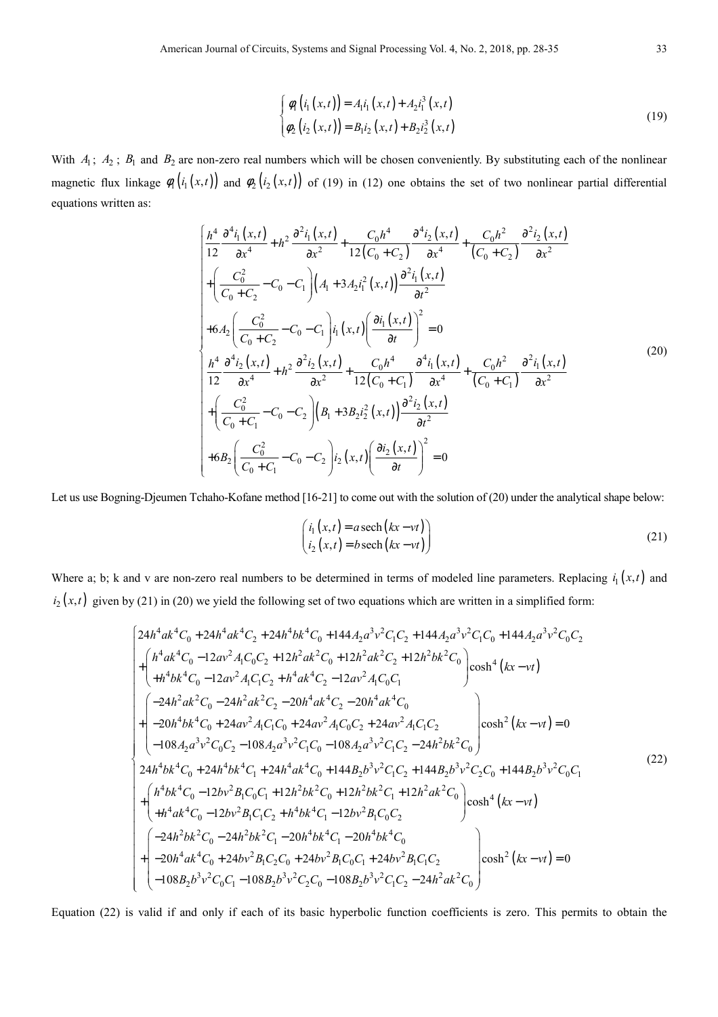$$
\begin{cases}\n\phi_1(i_1(x,t)) = A_1i_1(x,t) + A_2i_1^3(x,t) \\
\phi_2(i_2(x,t)) = B_1i_2(x,t) + B_2i_2^3(x,t)\n\end{cases}
$$
\n(19)

With  $A_1$ ;  $A_2$ ;  $B_1$  and  $B_2$  are non-zero real numbers which will be chosen conveniently. By substituting each of the nonlinear magnetic flux linkage  $\phi_1(i_1(x,t))$  and  $\phi_2(i_2(x,t))$  of (19) in (12) one obtains the set of two nonlinear partial differential equations written as:

$$
\begin{cases}\n\frac{h^4}{12} \frac{\partial^4 i_1(x,t)}{\partial x^4} + h^2 \frac{\partial^2 i_1(x,t)}{\partial x^2} + \frac{C_0 h^4}{12(C_0 + C_2)} \frac{\partial^4 i_2(x,t)}{\partial x^4} + \frac{C_0 h^2}{(C_0 + C_2)} \frac{\partial^2 i_2(x,t)}{\partial x^2} \\
+\left(\frac{C_0^2}{C_0 + C_2} - C_0 - C_1\right) \left(A_1 + 3A_2 i_1^2(x,t)\right) \frac{\partial^2 i_1(x,t)}{\partial t^2} \\
+ 6A_2 \left(\frac{C_0^2}{C_0 + C_2} - C_0 - C_1\right) i_1(x,t) \left(\frac{\partial i_1(x,t)}{\partial t}\right)^2 = 0 \\
\frac{h^4}{12} \frac{\partial^4 i_2(x,t)}{\partial x^4} + h^2 \frac{\partial^2 i_2(x,t)}{\partial x^2} + \frac{C_0 h^4}{12(C_0 + C_1)} \frac{\partial^4 i_1(x,t)}{\partial x^4} + \frac{C_0 h^2}{(C_0 + C_1)} \frac{\partial^2 i_1(x,t)}{\partial x^2} \\
+\left(\frac{C_0^2}{C_0 + C_1} - C_0 - C_2\right) \left(B_1 + 3B_2 i_2^2(x,t)\right) \frac{\partial^2 i_2(x,t)}{\partial t^2} \\
+ 6B_2 \left(\frac{C_0^2}{C_0 + C_1} - C_0 - C_2\right) i_2(x,t) \left(\frac{\partial i_2(x,t)}{\partial t}\right)^2 = 0\n\end{cases} (20)
$$

Let us use Bogning-Djeumen Tchaho-Kofane method [16-21] to come out with the solution of (20) under the analytical shape below:

$$
\begin{pmatrix}\n i_1(x,t) = a \operatorname{sech}(kx - vt) \\
 i_2(x,t) = b \operatorname{sech}(kx - vt)\n\end{pmatrix}
$$
\n(21)

Where a; b; k and v are non-zero real numbers to be determined in terms of modeled line parameters. Replacing  $i_1(x,t)$  and  $i_2(x,t)$  given by (21) in (20) we yield the following set of two equations which are written in a simplified form:

$$
\begin{bmatrix}\n24h^4ak^4C_0 + 24h^4ak^4C_2 + 24h^4bk^4C_0 + 144A_2a^3v^2C_1C_2 + 144A_2a^3v^2C_1C_0 + 144A_2a^3v^2C_0C_2 \\
+ \begin{bmatrix}\nh^4ak^4C_0 - 12av^2A_1C_0C_2 + 12h^2ak^2C_0 + 12h^2ak^2C_2 + 12h^2bk^2C_0 \\
+ h^4bk^4C_0 - 12av^2A_1C_1C_2 + h^4ak^4C_2 - 12av^2A_1C_0C_1\n\end{bmatrix} \cosh^4(kx - vt) \\
+ \begin{bmatrix}\n-24h^2ak^2C_0 - 24h^2ak^2C_2 - 20h^4ak^4C_2 - 20h^4ak^4C_0 \\
-20h^4bk^4C_0 + 24av^2A_1C_1C_0 + 24av^2A_1C_0C_2 + 24av^2A_1C_1C_2 \\
-108A_2a^3v^2C_0C_2 - 108A_2a^3v^2C_1C_0 - 108A_2a^3v^2C_1C_2 - 24h^2bk^2C_0\n\end{bmatrix} \cosh^2(kx - vt) = 0 \\
24h^4bk^4C_0 + 24h^4bk^4C_1 + 24h^4ak^4C_0 + 144B_2b^3v^2C_1C_2 - 144B_2b^3v^2C_2C_0 + 144B_2b^3v^2C_0C_1 \\
+ \begin{bmatrix}\nh^4bk^4C_0 - 12bv^2B_1C_0C_1 + 12h^2bk^2C_0 + 12h^2ak^2C_0 \\
+ h^4ak^4C_0 - 12bv^2B_1C_1C_2 + h^4bk^4C_1 - 12bv^2B_1C_0C_2\n\end{bmatrix} \cosh^4(kx - vt) \\
+ (22) \\
\begin{bmatrix}\n-24h^2bk^2C_0 - 24h^2bk^2C_1 - 20h^4bk^4C_1 - 12b^2b^2C_0C_1 \\
+ h^4
$$

Equation (22) is valid if and only if each of its basic hyperbolic function coefficients is zero. This permits to obtain the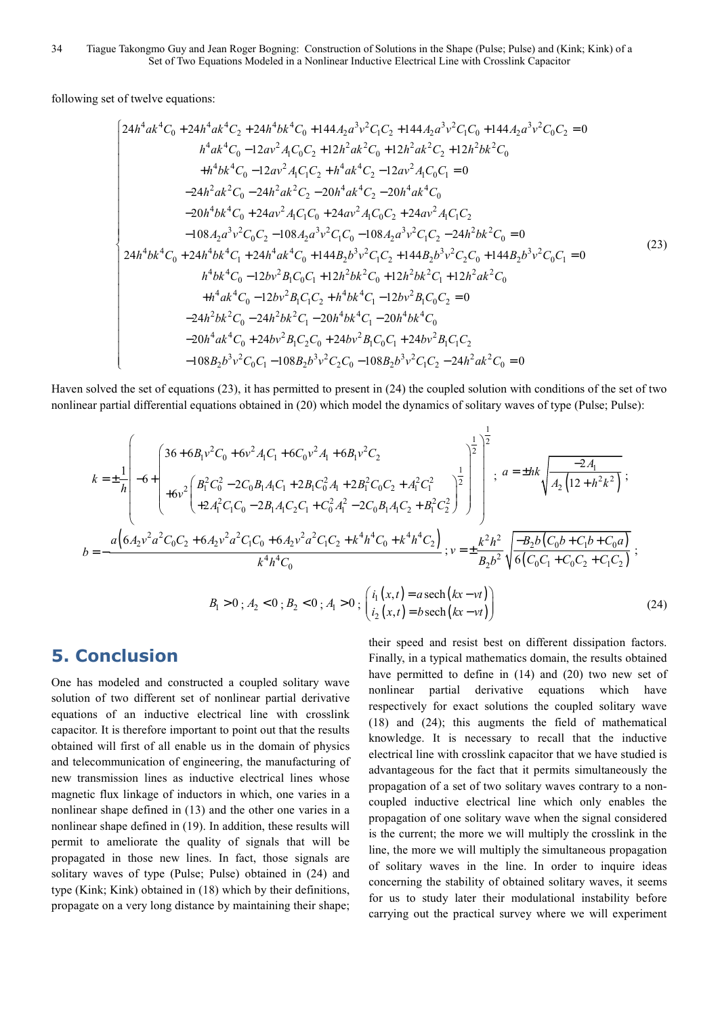following set of twelve equations:

$$
\begin{cases}\n24h^4ak^4C_0 + 24h^4ak^4C_2 + 24h^4bk^4C_0 + 144A_2a^3v^2C_1C_2 + 144A_2a^3v^2C_1C_0 + 144A_2a^3v^2C_0C_2 = 0 \\
h^4ak^4C_0 - 12av^2A_1C_0C_2 + 12h^2ak^2C_0 + 12h^2ak^2C_2 + 12h^2bk^2C_0 \\
+ h^4bk^4C_0 - 12av^2A_1C_1C_2 + h^4ak^4C_2 - 12av^2A_1C_0C_1 = 0 \\
-24h^2ak^2C_0 - 24h^2ak^2C_2 - 20h^4ak^4C_2 - 20h^4ak^4C_0 \\
-20h^4bk^4C_0 + 24av^2A_1C_1C_0 + 24av^2A_1C_0C_2 + 24av^2A_1C_1C_2 \\
-108A_2a^3v^2C_0C_2 - 108A_2a^3v^2C_1C_0 - 108A_2a^3v^2C_1C_2 - 24h^2bk^2C_0 = 0\n\end{cases}
$$
\n
$$
\begin{cases}\n24h^4bk^4C_0 + 24h^4bk^4C_1 + 24h^4ak^4C_0 + 144B_2b^3v^2C_1C_2 + 144B_2b^3v^2C_1C_2 - 144B_2b^3v^2C_0C_1 = 0 \\
h^4bk^4C_0 - 12bv^2B_1C_0C_1 + 12h^2bk^2C_0 + 12h^2bk^2C_1 + 12h^2ak^2C_0 \\
+ h^4ak^4C_0 - 12bv^2B_1C_0C_2 + h^4bk^4C_1 - 12bv^2B_1C_0C_2 = 0 \\
-24h^2bk^2C_0 - 24h^2bk^2C_1 - 20h^4bk^4C_1 - 20h^4bk^4C_0\n\end{cases}
$$
\n
$$
\begin{cases}\n-20h^4ak^4C_0 + 24bb^2B_1C_2C_0 + 2
$$

Haven solved the set of equations (23), it has permitted to present in (24) the coupled solution with conditions of the set of two nonlinear partial differential equations obtained in (20) which model the dynamics of solitary waves of type (Pulse; Pulse):

$$
k = \pm \frac{1}{h} \left[ -6 + \left( \frac{36 + 6B_1 v^2 C_0 + 6v^2 A_1 C_1 + 6C_0 v^2 A_1 + 6B_1 v^2 C_2}{+6v^2 \left( \frac{B_1^2 C_0^2 - 2C_0 B_1 A_1 C_1 + 2B_1 C_0^2 A_1 + 2B_1^2 C_0 C_2 + A_1^2 C_1^2}{+2A_1^2 C_1 C_0 - 2B_1 A_1 C_2 C_1 + C_0^2 A_1^2 - 2C_0 B_1 A_1 C_2 + B_1^2 C_2^2} \right)^{\frac{1}{2}} \right]_{}^{\frac{1}{2}}; a = \pm hk \sqrt{\frac{-2A_1}{A_2 (12 + h^2 k^2)}};
$$
  
\n
$$
b = -\frac{a \left( 6A_2 v^2 a^2 C_0 C_2 + 6A_2 v^2 a^2 C_1 C_0 + 6A_2 v^2 a^2 C_1 C_2 + k^4 h^4 C_0 + k^4 h^4 C_2 \right)}{k^4 h^4 C_0}; v = \pm \frac{k^2 h^2}{B_2 b^2} \sqrt{\frac{-B_2 b (C_0 b + C_1 b + C_0 a)}{6 (C_0 C_1 + C_0 C_2 + C_1 C_2)}};
$$
  
\n
$$
B_1 > 0; A_2 < 0; B_2 < 0; A_1 > 0; \left( \frac{i_1 (x, t) = a \operatorname{sech} (kx - vt)}{i_2 (x, t) = b \operatorname{sech} (kx - vt)} \right)
$$
(24)

2

 $(x,t) = b \operatorname{sech}(kx - vt)$ 

 $(i_2(x,t) = b \operatorname{sech}(kx - vt))$ 

 $(t) = b$  sech

### **5. Conclusion**

One has modeled and constructed a coupled solitary wave solution of two different set of nonlinear partial derivative equations of an inductive electrical line with crosslink capacitor. It is therefore important to point out that the results obtained will first of all enable us in the domain of physics and telecommunication of engineering, the manufacturing of new transmission lines as inductive electrical lines whose magnetic flux linkage of inductors in which, one varies in a nonlinear shape defined in (13) and the other one varies in a nonlinear shape defined in (19). In addition, these results will permit to ameliorate the quality of signals that will be propagated in those new lines. In fact, those signals are solitary waves of type (Pulse; Pulse) obtained in (24) and type (Kink; Kink) obtained in (18) which by their definitions, propagate on a very long distance by maintaining their shape;

their speed and resist best on different dissipation factors. Finally, in a typical mathematics domain, the results obtained have permitted to define in (14) and (20) two new set of nonlinear partial derivative equations which have respectively for exact solutions the coupled solitary wave (18) and (24); this augments the field of mathematical knowledge. It is necessary to recall that the inductive electrical line with crosslink capacitor that we have studied is advantageous for the fact that it permits simultaneously the propagation of a set of two solitary waves contrary to a noncoupled inductive electrical line which only enables the propagation of one solitary wave when the signal considered is the current; the more we will multiply the crosslink in the line, the more we will multiply the simultaneous propagation of solitary waves in the line. In order to inquire ideas concerning the stability of obtained solitary waves, it seems for us to study later their modulational instability before carrying out the practical survey where we will experiment